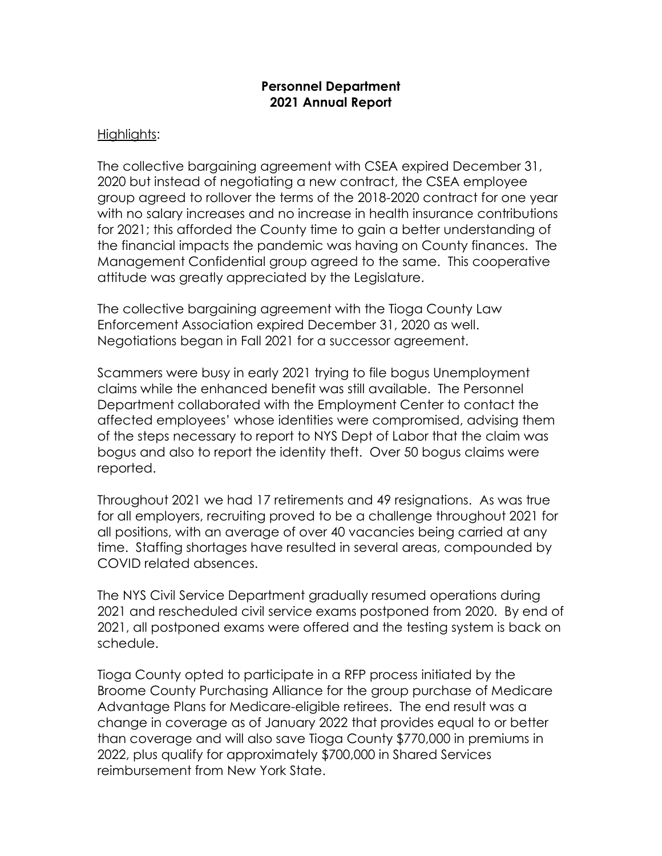## **Personnel Department 2021 Annual Report**

## Highlights:

The collective bargaining agreement with CSEA expired December 31, 2020 but instead of negotiating a new contract, the CSEA employee group agreed to rollover the terms of the 2018-2020 contract for one year with no salary increases and no increase in health insurance contributions for 2021; this afforded the County time to gain a better understanding of the financial impacts the pandemic was having on County finances. The Management Confidential group agreed to the same. This cooperative attitude was greatly appreciated by the Legislature.

The collective bargaining agreement with the Tioga County Law Enforcement Association expired December 31, 2020 as well. Negotiations began in Fall 2021 for a successor agreement.

Scammers were busy in early 2021 trying to file bogus Unemployment claims while the enhanced benefit was still available. The Personnel Department collaborated with the Employment Center to contact the affected employees' whose identities were compromised, advising them of the steps necessary to report to NYS Dept of Labor that the claim was bogus and also to report the identity theft. Over 50 bogus claims were reported.

Throughout 2021 we had 17 retirements and 49 resignations. As was true for all employers, recruiting proved to be a challenge throughout 2021 for all positions, with an average of over 40 vacancies being carried at any time. Staffing shortages have resulted in several areas, compounded by COVID related absences.

The NYS Civil Service Department gradually resumed operations during 2021 and rescheduled civil service exams postponed from 2020. By end of 2021, all postponed exams were offered and the testing system is back on schedule.

Tioga County opted to participate in a RFP process initiated by the Broome County Purchasing Alliance for the group purchase of Medicare Advantage Plans for Medicare-eligible retirees. The end result was a change in coverage as of January 2022 that provides equal to or better than coverage and will also save Tioga County \$770,000 in premiums in 2022, plus qualify for approximately \$700,000 in Shared Services reimbursement from New York State.